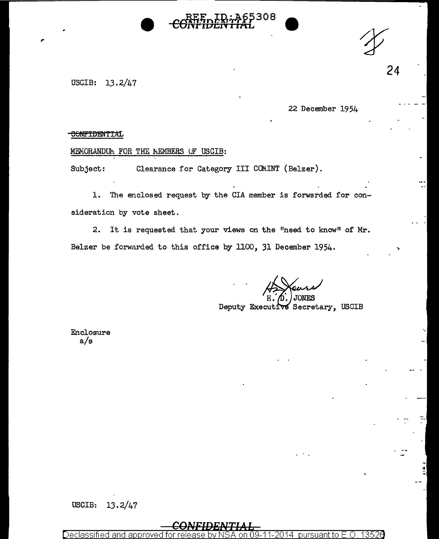



24

USCIB: 13.2/47

,.

22 December 1954

### CONFIDENTIAL

## MEMORANDUM FOR THE MEMBERS OF USCIB:

Subject: Clearance for Category III COMINT (Belzer).

1. The enclosed request by the CIA member is forwarded for consideration by vote sheet.

2. It is requested that your views on the "need to know" of Mr. Belzer be forwarded to this office by 1100, 31 December 1954.

**ONES** Deputy Executive Secretary, USCIB

Enclosure a/s

# USCIB: 13.2/47

<u>eclassified and approved for release by NSA on 09-11-2014 pursuant to E.O. 13526</u>